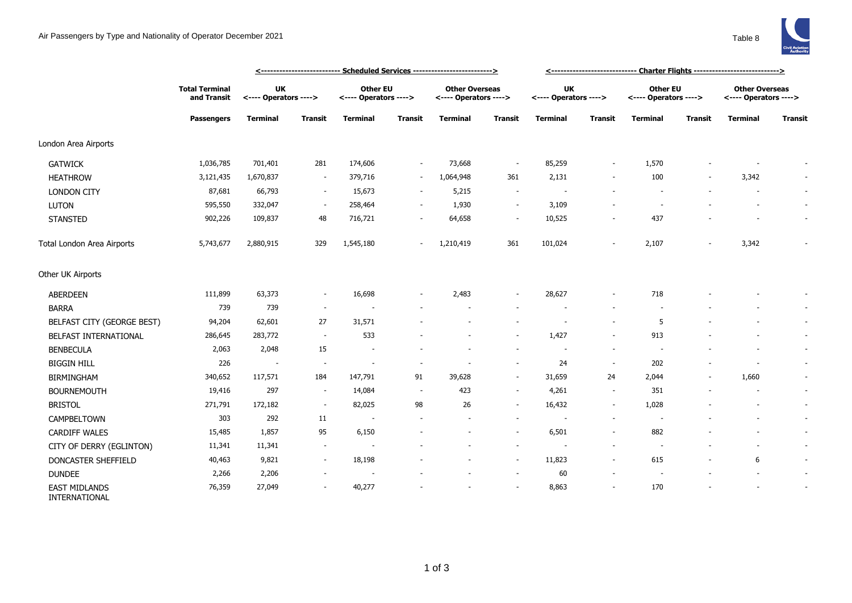

|                                       |                                                           |                                    |                          | <--------------------------- Scheduled Services -------------------------> |                          | <------------------------------ Charter Flights ----------------------------> |                          |                                    |                          |                                          |                          |                                                |                          |
|---------------------------------------|-----------------------------------------------------------|------------------------------------|--------------------------|----------------------------------------------------------------------------|--------------------------|-------------------------------------------------------------------------------|--------------------------|------------------------------------|--------------------------|------------------------------------------|--------------------------|------------------------------------------------|--------------------------|
|                                       | <b>Total Terminal</b><br>and Transit<br><b>Passengers</b> | <b>UK</b><br><---- Operators ----> |                          | <b>Other EU</b><br><---- Operators ---->                                   |                          | <b>Other Overseas</b><br><---- Operators ---->                                |                          | <b>UK</b><br><---- Operators ----> |                          | <b>Other EU</b><br><---- Operators ----> |                          | <b>Other Overseas</b><br><---- Operators ----> |                          |
|                                       |                                                           | <b>Terminal</b>                    | <b>Transit</b>           | <b>Terminal</b>                                                            | <b>Transit</b>           | <b>Terminal</b>                                                               | <b>Transit</b>           | <b>Terminal</b>                    | <b>Transit</b>           | <b>Terminal</b>                          | <b>Transit</b>           | <b>Terminal</b>                                | <b>Transit</b>           |
| London Area Airports                  |                                                           |                                    |                          |                                                                            |                          |                                                                               |                          |                                    |                          |                                          |                          |                                                |                          |
| <b>GATWICK</b>                        | 1,036,785                                                 | 701,401                            | 281                      | 174,606                                                                    | $\sim$                   | 73,668                                                                        | $\overline{\phantom{a}}$ | 85,259                             | $\sim$                   | 1,570                                    |                          |                                                |                          |
| <b>HEATHROW</b>                       | 3,121,435                                                 | 1,670,837                          | $\sim$                   | 379,716                                                                    | $\sim$                   | 1,064,948                                                                     | 361                      | 2,131                              | $\overline{\phantom{a}}$ | 100                                      | $\overline{\phantom{a}}$ | 3,342                                          | $\overline{\phantom{a}}$ |
| <b>LONDON CITY</b>                    | 87,681                                                    | 66,793                             | $\sim$                   | 15,673                                                                     | $\overline{\phantom{a}}$ | 5,215                                                                         | $\sim$                   | $\overline{\phantom{a}}$           |                          |                                          |                          |                                                | ÷.                       |
| LUTON                                 | 595,550                                                   | 332,047                            | $\sim$                   | 258,464                                                                    | $\sim$                   | 1,930                                                                         | $\sim$                   | 3,109                              |                          |                                          |                          |                                                | $\sim$                   |
| <b>STANSTED</b>                       | 902,226                                                   | 109,837                            | 48                       | 716,721                                                                    | $\sim$                   | 64,658                                                                        | $\sim$                   | 10,525                             | $\overline{\phantom{a}}$ | 437                                      |                          |                                                | $\overline{\phantom{a}}$ |
| Total London Area Airports            | 5,743,677                                                 | 2,880,915                          | 329                      | 1,545,180                                                                  | $\overline{\phantom{a}}$ | 1,210,419                                                                     | 361                      | 101,024                            |                          | 2,107                                    |                          | 3,342                                          |                          |
| Other UK Airports                     |                                                           |                                    |                          |                                                                            |                          |                                                                               |                          |                                    |                          |                                          |                          |                                                |                          |
| ABERDEEN                              | 111,899                                                   | 63,373                             | $\sim$                   | 16,698                                                                     |                          | 2,483                                                                         | $\sim$                   | 28,627                             | $\overline{\phantom{a}}$ | 718                                      |                          |                                                |                          |
| <b>BARRA</b>                          | 739                                                       | 739                                | $\sim$                   |                                                                            |                          |                                                                               |                          |                                    |                          |                                          |                          |                                                | $\overline{\phantom{a}}$ |
| BELFAST CITY (GEORGE BEST)            | 94,204                                                    | 62,601                             | 27                       | 31,571                                                                     |                          |                                                                               | $\overline{\phantom{a}}$ | $\overline{\phantom{a}}$           | $\overline{a}$           | 5                                        |                          |                                                | $\overline{\phantom{a}}$ |
| BELFAST INTERNATIONAL                 | 286,645                                                   | 283,772                            | $\sim$                   | 533                                                                        |                          |                                                                               | $\sim$                   | 1,427                              | $\sim$                   | 913                                      |                          |                                                | $\overline{\phantom{a}}$ |
| <b>BENBECULA</b>                      | 2,063                                                     | 2,048                              | 15                       |                                                                            |                          |                                                                               | $\sim$                   | $\sim$                             | $\overline{\phantom{a}}$ |                                          |                          |                                                | $\sim$                   |
| <b>BIGGIN HILL</b>                    | 226                                                       | $\overline{\phantom{a}}$           | $\overline{\phantom{a}}$ | $\sim$                                                                     | $\overline{\phantom{a}}$ | $\overline{\phantom{a}}$                                                      | $\overline{\phantom{a}}$ | 24                                 | $\overline{\phantom{a}}$ | 202                                      |                          | $\overline{\phantom{a}}$                       | $\sim$                   |
| <b>BIRMINGHAM</b>                     | 340,652                                                   | 117,571                            | 184                      | 147,791                                                                    | 91                       | 39,628                                                                        | $\overline{\phantom{a}}$ | 31,659                             | 24                       | 2,044                                    |                          | 1,660                                          | $\overline{\phantom{a}}$ |
| <b>BOURNEMOUTH</b>                    | 19,416                                                    | 297                                | $\sim$                   | 14,084                                                                     | $\sim$                   | 423                                                                           | $\sim$                   | 4,261                              | $\overline{\phantom{a}}$ | 351                                      |                          |                                                | $\overline{\phantom{a}}$ |
| <b>BRISTOL</b>                        | 271,791                                                   | 172,182                            | $\sim$                   | 82,025                                                                     | 98                       | 26                                                                            | $\overline{\phantom{a}}$ | 16,432                             | $\overline{\phantom{a}}$ | 1,028                                    |                          |                                                | $\sim$                   |
| CAMPBELTOWN                           | 303                                                       | 292                                | 11                       | $\sim$                                                                     |                          |                                                                               | $\overline{\phantom{a}}$ |                                    | $\overline{\phantom{a}}$ |                                          |                          |                                                | $\overline{\phantom{a}}$ |
| <b>CARDIFF WALES</b>                  | 15,485                                                    | 1,857                              | 95                       | 6,150                                                                      |                          |                                                                               | $\overline{\phantom{a}}$ | 6,501                              | $\sim$                   | 882                                      |                          |                                                | $\sim$                   |
| CITY OF DERRY (EGLINTON)              | 11,341                                                    | 11,341                             |                          |                                                                            |                          |                                                                               | $\overline{\phantom{a}}$ |                                    |                          |                                          |                          |                                                | $\overline{\phantom{a}}$ |
| DONCASTER SHEFFIELD                   | 40,463                                                    | 9,821                              | $\sim$                   | 18,198                                                                     |                          |                                                                               | $\overline{\phantom{a}}$ | 11,823                             | $\overline{\phantom{a}}$ | 615                                      |                          | 6                                              | $\sim$                   |
| <b>DUNDEE</b>                         | 2,266                                                     | 2,206                              | $\sim$                   | $\overline{\phantom{a}}$                                                   |                          |                                                                               | $\sim$                   | 60                                 | $\sim$                   | $\sim$                                   |                          | $\overline{\phantom{a}}$                       | $\sim$                   |
| <b>EAST MIDLANDS</b><br>INTERNATIONAL | 76,359                                                    | 27,049                             | ٠                        | 40,277                                                                     |                          |                                                                               | $\sim$                   | 8,863                              | $\overline{\phantom{a}}$ | 170                                      |                          |                                                |                          |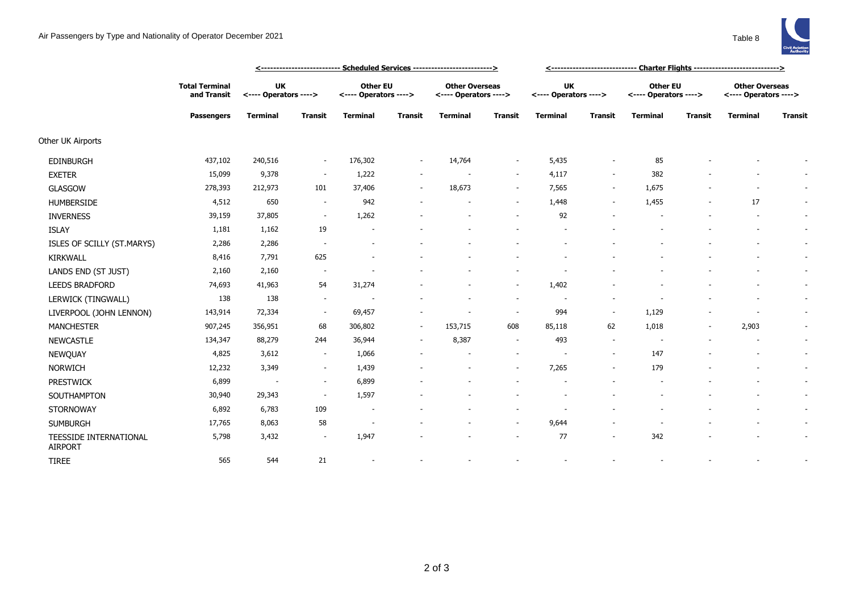

|                                          |                                                           | <u> &lt;-------------------------- Scheduled Services --------------------------&gt;</u> |                          |                                          |                          |                                                |                          |                                    |                          |                                          |                |                                                |                |
|------------------------------------------|-----------------------------------------------------------|------------------------------------------------------------------------------------------|--------------------------|------------------------------------------|--------------------------|------------------------------------------------|--------------------------|------------------------------------|--------------------------|------------------------------------------|----------------|------------------------------------------------|----------------|
|                                          | <b>Total Terminal</b><br>and Transit<br><b>Passengers</b> | <b>UK</b><br><---- Operators ---->                                                       |                          | <b>Other EU</b><br><---- Operators ----> |                          | <b>Other Overseas</b><br><---- Operators ----> |                          | <b>UK</b><br><---- Operators ----> |                          | <b>Other EU</b><br><---- Operators ----> |                | <b>Other Overseas</b><br><---- Operators ----> |                |
|                                          |                                                           | <b>Terminal</b>                                                                          | <b>Transit</b>           | <b>Terminal</b>                          | <b>Transit</b>           | <b>Terminal</b>                                | <b>Transit</b>           | <b>Terminal</b>                    | <b>Transit</b>           | <b>Terminal</b>                          | <b>Transit</b> | <b>Terminal</b>                                | <b>Transit</b> |
| Other UK Airports                        |                                                           |                                                                                          |                          |                                          |                          |                                                |                          |                                    |                          |                                          |                |                                                |                |
| <b>EDINBURGH</b>                         | 437,102                                                   | 240,516                                                                                  | $\sim$                   | 176,302                                  | $\overline{\phantom{a}}$ | 14,764                                         | $\sim$                   | 5,435                              | $\overline{\phantom{a}}$ | 85                                       |                |                                                |                |
| <b>EXETER</b>                            | 15,099                                                    | 9,378                                                                                    | $\sim$                   | 1,222                                    |                          |                                                | $\sim$                   | 4,117                              | $\overline{\phantom{a}}$ | 382                                      |                |                                                |                |
| <b>GLASGOW</b>                           | 278,393                                                   | 212,973                                                                                  | 101                      | 37,406                                   | $\sim$                   | 18,673                                         | $\sim$                   | 7,565                              | $\sim$                   | 1,675                                    |                | $\overline{\phantom{a}}$                       | $\sim$         |
| <b>HUMBERSIDE</b>                        | 4,512                                                     | 650                                                                                      | $\sim$                   | 942                                      |                          |                                                | $\sim$                   | 1,448                              | $\overline{\phantom{a}}$ | 1,455                                    |                | 17                                             | $\sim$         |
| <b>INVERNESS</b>                         | 39,159                                                    | 37,805                                                                                   | $\overline{\phantom{a}}$ | 1,262                                    |                          |                                                |                          | 92                                 |                          |                                          |                |                                                | $\sim$         |
| <b>ISLAY</b>                             | 1,181                                                     | 1,162                                                                                    | 19                       | $\overline{\phantom{a}}$                 |                          |                                                |                          |                                    |                          |                                          |                | $\sim$                                         | $\sim$         |
| ISLES OF SCILLY (ST.MARYS)               | 2,286                                                     | 2,286                                                                                    | $\overline{\phantom{a}}$ |                                          |                          |                                                |                          |                                    |                          |                                          |                |                                                | $\sim$         |
| <b>KIRKWALL</b>                          | 8,416                                                     | 7,791                                                                                    | 625                      |                                          |                          |                                                |                          |                                    |                          |                                          |                |                                                | $\sim$         |
| LANDS END (ST JUST)                      | 2,160                                                     | 2,160                                                                                    | $\sim$                   |                                          |                          |                                                |                          |                                    |                          |                                          |                |                                                | $\sim$         |
| <b>LEEDS BRADFORD</b>                    | 74,693                                                    | 41,963                                                                                   | 54                       | 31,274                                   |                          |                                                | $\sim$                   | 1,402                              |                          |                                          |                |                                                | $\sim$         |
| LERWICK (TINGWALL)                       | 138                                                       | 138                                                                                      | $\sim$                   |                                          |                          |                                                | $\sim$                   |                                    |                          |                                          |                |                                                | $\sim$         |
| LIVERPOOL (JOHN LENNON)                  | 143,914                                                   | 72,334                                                                                   | $\sim$                   | 69,457                                   |                          |                                                | $\sim$                   | 994                                |                          | 1,129                                    |                |                                                | $\sim$         |
| <b>MANCHESTER</b>                        | 907,245                                                   | 356,951                                                                                  | 68                       | 306,802                                  | $\sim$                   | 153,715                                        | 608                      | 85,118                             | 62                       | 1,018                                    | $\sim$         | 2,903                                          | $\sim$         |
| <b>NEWCASTLE</b>                         | 134,347                                                   | 88,279                                                                                   | 244                      | 36,944                                   | $\sim$                   | 8,387                                          | $\sim$                   | 493                                | $\overline{\phantom{a}}$ |                                          |                |                                                | $\sim$         |
| NEWQUAY                                  | 4,825                                                     | 3,612                                                                                    | $\sim$                   | 1,066                                    |                          |                                                |                          |                                    |                          | 147                                      |                |                                                | $\sim$         |
| <b>NORWICH</b>                           | 12,232                                                    | 3,349                                                                                    | $\sim$                   | 1,439                                    |                          |                                                | $\sim$                   | 7,265                              | $\overline{\phantom{a}}$ | 179                                      |                | $\overline{\phantom{a}}$                       | $\sim$         |
| <b>PRESTWICK</b>                         | 6,899                                                     | $\overline{\phantom{a}}$                                                                 | $\sim$                   | 6,899                                    |                          |                                                |                          |                                    |                          |                                          |                |                                                | $\sim$         |
| SOUTHAMPTON                              | 30,940                                                    | 29,343                                                                                   | $\overline{\phantom{a}}$ | 1,597                                    |                          |                                                |                          |                                    |                          |                                          |                |                                                | $\sim$         |
| <b>STORNOWAY</b>                         | 6,892                                                     | 6,783                                                                                    | 109                      | $\overline{\phantom{a}}$                 |                          |                                                |                          |                                    |                          |                                          |                |                                                | $\sim$         |
| <b>SUMBURGH</b>                          | 17,765                                                    | 8,063                                                                                    | 58                       | $\overline{\phantom{a}}$                 |                          |                                                | $\sim$                   | 9,644                              |                          |                                          |                |                                                | $\sim$         |
| TEESSIDE INTERNATIONAL<br><b>AIRPORT</b> | 5,798                                                     | 3,432                                                                                    | $\sim$                   | 1,947                                    |                          |                                                | $\overline{\phantom{a}}$ | 77                                 | $\overline{\phantom{a}}$ | 342                                      |                |                                                | $\sim$         |
| <b>TIREE</b>                             | 565                                                       | 544                                                                                      | 21                       | $\overline{\phantom{a}}$                 |                          |                                                |                          |                                    |                          |                                          |                |                                                |                |